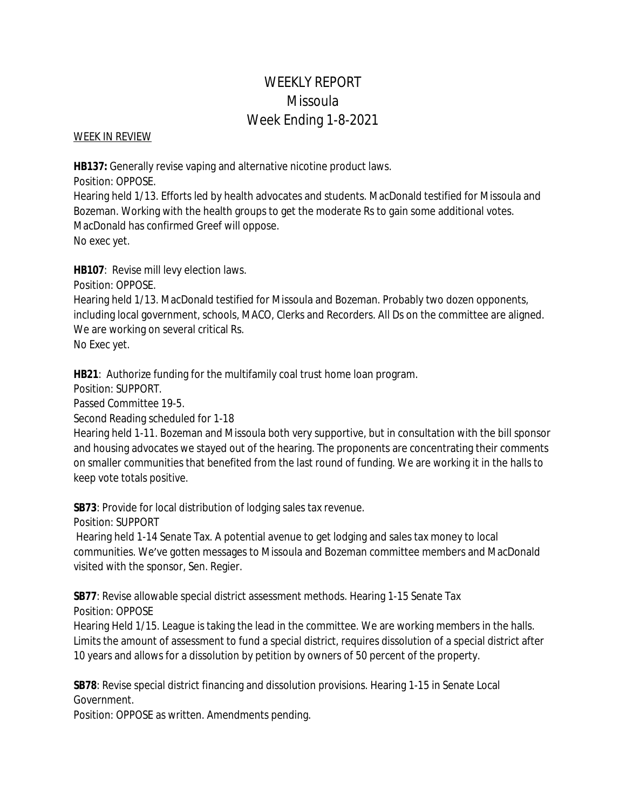# WEEKLY REPORT Missoula Week Ending 1-8-2021

### WEEK IN REVIEW

**HB137:** Generally revise vaping and alternative nicotine product laws.

Position: OPPOSE.

Hearing held 1/13. Efforts led by health advocates and students. MacDonald testified for Missoula and Bozeman. Working with the health groups to get the moderate Rs to gain some additional votes. MacDonald has confirmed Greef will oppose. No exec yet.

**HB107**: Revise mill levy election laws.

Position: OPPOSE.

Hearing held 1/13. MacDonald testified for Missoula and Bozeman. Probably two dozen opponents, including local government, schools, MACO, Clerks and Recorders. All Ds on the committee are aligned. We are working on several critical Rs.

No Exec yet.

**HB21**: Authorize funding for the multifamily coal trust home loan program.

Position: SUPPORT.

Passed Committee 19-5.

Second Reading scheduled for 1-18

Hearing held 1-11. Bozeman and Missoula both very supportive, but in consultation with the bill sponsor and housing advocates we stayed out of the hearing. The proponents are concentrating their comments on smaller communities that benefited from the last round of funding. We are working it in the halls to keep vote totals positive.

**SB73**: Provide for local distribution of lodging sales tax revenue.

Position: SUPPORT

 Hearing held 1-14 Senate Tax. A potential avenue to get lodging and sales tax money to local communities. We've gotten messages to Missoula and Bozeman committee members and MacDonald visited with the sponsor, Sen. Regier.

**SB77**: Revise allowable special district assessment methods. Hearing 1-15 Senate Tax Position: OPPOSE

Hearing Held 1/15. League is taking the lead in the committee. We are working members in the halls. Limits the amount of assessment to fund a special district, requires dissolution of a special district after 10 years and allows for a dissolution by petition by owners of 50 percent of the property.

**SB78**: Revise special district financing and dissolution provisions. Hearing 1-15 in Senate Local Government.

Position: OPPOSE as written. Amendments pending.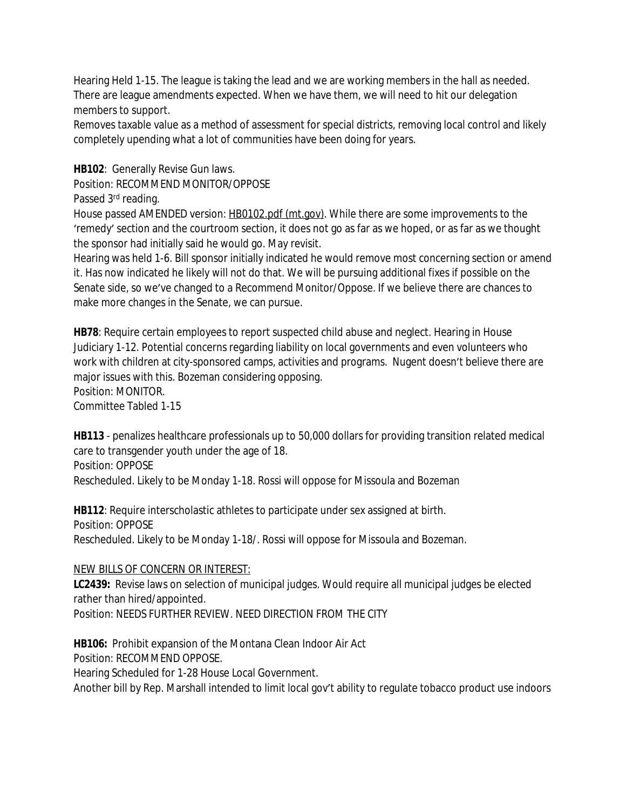Hearing Held 1-15. The league is taking the lead and we are working members in the hall as needed. There are league amendments expected. When we have them, we will need to hit our delegation members to support.

Removes taxable value as a method of assessment for special districts, removing local control and likely completely upending what a lot of communities have been doing for years.

**HB102**: Generally Revise Gun laws.

Position: RECOMMEND MONITOR/OPPOSE

```
Passed 3rd reading.
```
House passed AMENDED version: [HB0102.pdf \(mt.gov\)](https://leg.mt.gov/bills/2021/billpdf/HB0102.pdf). While there are some improvements to the 'remedy' section and the courtroom section, it does not go as far as we hoped, or as far as we thought the sponsor had initially said he would go. May revisit.

Hearing was held 1-6. Bill sponsor initially indicated he would remove most concerning section or amend it. Has now indicated he likely will not do that. We will be pursuing additional fixes if possible on the Senate side, so we've changed to a Recommend Monitor/Oppose. If we believe there are chances to make more changes in the Senate, we can pursue.

**HB78**: Require certain employees to report suspected child abuse and neglect. Hearing in House Judiciary 1-12. Potential concerns regarding liability on local governments and even volunteers who work with children at city-sponsored camps, activities and programs. Nugent doesn't believe there are major issues with this. Bozeman considering opposing.

Position: MONITOR.

Committee Tabled 1-15

**HB113** - penalizes healthcare professionals up to 50,000 dollars for providing transition related medical care to transgender youth under the age of 18. Position: OPPOSE

Rescheduled. Likely to be Monday 1-18. Rossi will oppose for Missoula and Bozeman

**HB112**: Require interscholastic athletes to participate under sex assigned at birth. Position: OPPOSE Rescheduled. Likely to be Monday 1-18/. Rossi will oppose for Missoula and Bozeman.

# NEW BILLS OF CONCERN OR INTEREST:

**LC2439:** Revise laws on selection of municipal judges. Would require all municipal judges be elected rather than hired/appointed.

Position: NEEDS FURTHER REVIEW. NEED DIRECTION FROM THE CITY

**HB106:** Prohibit expansion of the Montana Clean Indoor Air Act

Position: RECOMMEND OPPOSE.

Hearing Scheduled for 1-28 House Local Government.

Another bill by Rep. Marshall intended to limit local gov't ability to regulate tobacco product use indoors